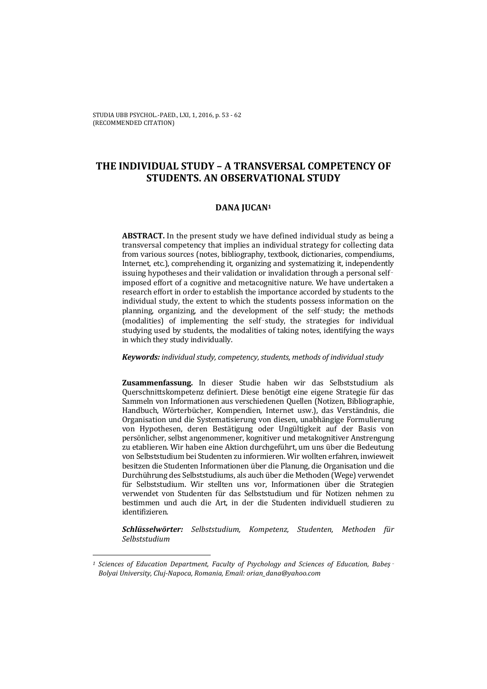STUDIA UBB PSYCHOL.-PAED., LXI, 1, 2016, p. 53 - 62 (RECOMMENDED CITATION)

# **THE INDIVIDUAL STUDY – A TRANSVERSAL COMPETENCY OF STUDENTS. AN OBSERVATIONAL STUDY**

### **DANA JUCAN1**

**ABSTRACT.** In the present study we have defined individual study as being a transversal competency that implies an individual strategy for collecting data from various sources (notes, bibliography, textbook, dictionaries, compendiums, Internet, etc.), comprehending it, organizing and systematizing it, independently issuing hypotheses and their validation or invalidation through a personal selfimposed effort of a cognitive and metacognitive nature. We have undertaken a research effort in order to establish the importance accorded by students to the individual study, the extent to which the students possess information on the planning, organizing, and the development of the self‑study; the methods (modalities) of implementing the self‑study, the strategies for individual studying used by students, the modalities of taking notes, identifying the ways in which they study individually.

#### *Keywords: individual study, competency, students, methods of individual study*

**Zusammenfassung.** In dieser Studie haben wir das Selbststudium als Querschnittskompetenz definiert. Diese benötigt eine eigene Strategie für das Sammeln von Informationen aus verschiedenen Quellen (Notizen, Bibliographie, Handbuch, Wörterbücher, Kompendien, Internet usw.), das Verständnis, die Organisation und die Systematisierung von diesen, unabhängige Formulierung von Hypothesen, deren Bestätigung oder Ungültigkeit auf der Basis von persönlicher, selbst angenommener, kognitiver und metakognitiver Anstrengung zu etablieren. Wir haben eine Aktion durchgeführt, um uns über die Bedeutung von Selbststudium bei Studenten zu informieren. Wir wollten erfahren, inwieweit besitzen die Studenten Informationen über die Planung, die Organisation und die Durchührung des Selbststudiums, als auch über die Methoden (Wege) verwendet für Selbststudium. Wir stellten uns vor, Informationen über die Strategien verwendet von Studenten für das Selbststudium und für Notizen nehmen zu bestimmen und auch die Art, in der die Studenten individuell studieren zu identifizieren.

*Schlüsselwörter: Selbststudium, Kompetenz, Studenten, Methoden für Selbststudium* 

 $\overline{a}$ 

*<sup>1</sup> Sciences of Education Department, Faculty of Psychology and Sciences of Education, Babeș*‑ *Bolyai University, Cluj-Napoca, Romania, Email: orian\_dana@yahoo.com*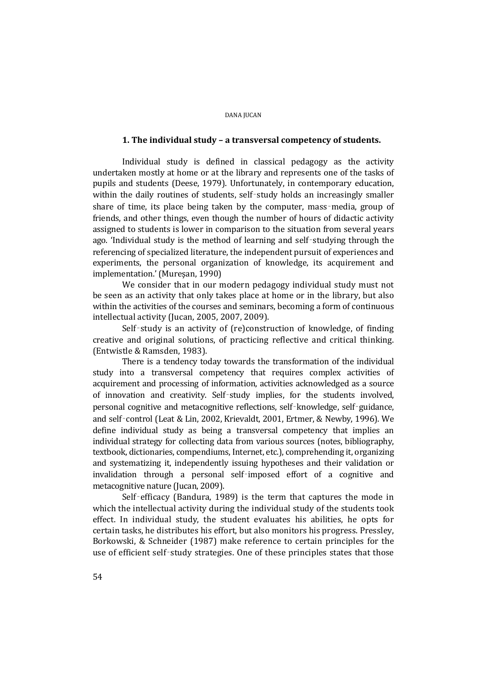## **1. The individual study – a transversal competency of students.**

Individual study is defined in classical pedagogy as the activity undertaken mostly at home or at the library and represents one of the tasks of pupils and students (Deese, 1979). Unfortunately, in contemporary education, within the daily routines of students, self-study holds an increasingly smaller share of time, its place being taken by the computer, mass‑media, group of friends, and other things, even though the number of hours of didactic activity assigned to students is lower in comparison to the situation from several years ago. 'Individual study is the method of learning and self‑studying through the referencing of specialized literature, the independent pursuit of experiences and experiments, the personal organization of knowledge, its acquirement and implementation.' (Mureşan, 1990)

We consider that in our modern pedagogy individual study must not be seen as an activity that only takes place at home or in the library, but also within the activities of the courses and seminars, becoming a form of continuous intellectual activity (Jucan, 2005, 2007, 2009).

Self-study is an activity of (re)construction of knowledge, of finding creative and original solutions, of practicing reflective and critical thinking. (Entwistle & Ramsden, 1983).

There is a tendency today towards the transformation of the individual study into a transversal competency that requires complex activities of acquirement and processing of information, activities acknowledged as a source of innovation and creativity. Self‑study implies, for the students involved, personal cognitive and metacognitive reflections, self‑knowledge, self‑guidance, and self‑control (Leat & Lin, 2002, Krievaldt, 2001, Ertmer, & Newby, 1996). We define individual study as being a transversal competency that implies an individual strategy for collecting data from various sources (notes, bibliography, textbook, dictionaries, compendiums, Internet, etc.), comprehending it, organizing and systematizing it, independently issuing hypotheses and their validation or invalidation through a personal self-imposed effort of a cognitive and metacognitive nature (Jucan, 2009).

Self-efficacy (Bandura, 1989) is the term that captures the mode in which the intellectual activity during the individual study of the students took effect. In individual study, the student evaluates his abilities, he opts for certain tasks, he distributes his effort, but also monitors his progress. Pressley, Borkowski, & Schneider (1987) make reference to certain principles for the use of efficient self-study strategies. One of these principles states that those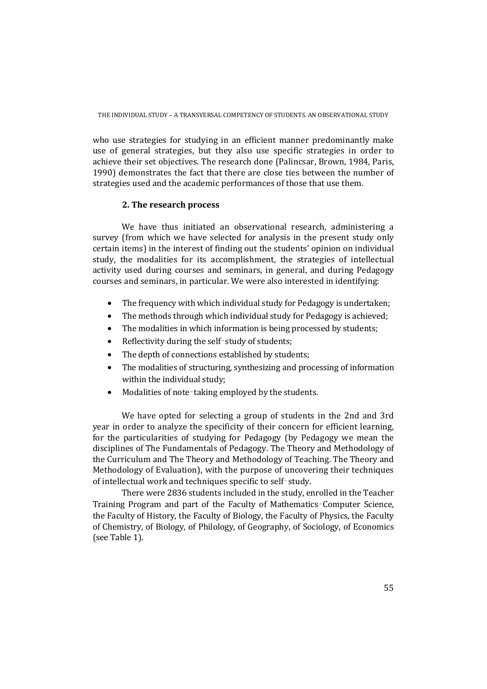who use strategies for studying in an efficient manner predominantly make use of general strategies, but they also use specific strategies in order to achieve their set objectives. The research done (Palincsar, Brown, 1984, Paris, 1990) demonstrates the fact that there are close ties between the number of strategies used and the academic performances of those that use them.

### **2. The research process**

We have thus initiated an observational research, administering a survey (from which we have selected for analysis in the present study only certain items) in the interest of finding out the students' opinion on individual study, the modalities for its accomplishment, the strategies of intellectual activity used during courses and seminars, in general, and during Pedagogy courses and seminars, in particular. We were also interested in identifying:

- The frequency with which individual study for Pedagogy is undertaken:
- The methods through which individual study for Pedagogy is achieved;
- The modalities in which information is being processed by students:
- Reflectivity during the self-study of students;
- The depth of connections established by students;
- The modalities of structuring, synthesizing and processing of information within the individual study;
- Modalities of note-taking employed by the students.

We have opted for selecting a group of students in the 2nd and 3rd year in order to analyze the specificity of their concern for efficient learning, for the particularities of studying for Pedagogy (by Pedagogy we mean the disciplines of The Fundamentals of Pedagogy. The Theory and Methodology of the Curriculum and The Theory and Methodology of Teaching. The Theory and Methodology of Evaluation), with the purpose of uncovering their techniques of intellectual work and techniques specific to self‑study.

There were 2836 students included in the study, enrolled in the Teacher Training Program and part of the Faculty of Mathematics‑Computer Science, the Faculty of History, the Faculty of Biology, the Faculty of Physics, the Faculty of Chemistry, of Biology, of Philology, of Geography, of Sociology, of Economics (see Table 1).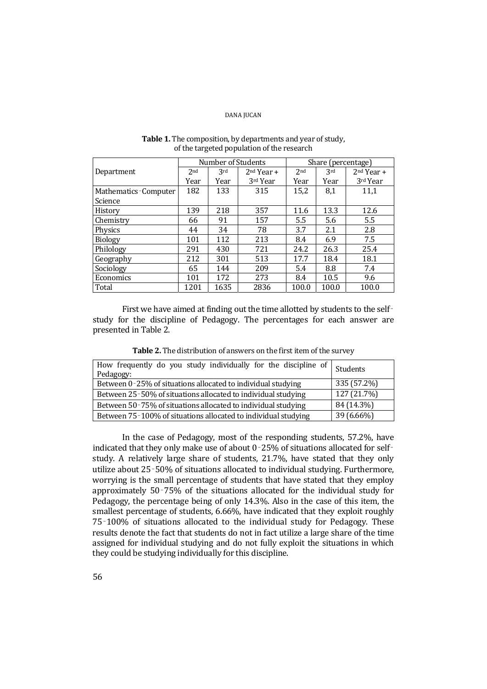|                      |                 | Number of Students |              | Share (percentage) |       |              |
|----------------------|-----------------|--------------------|--------------|--------------------|-------|--------------|
| Department           | 2 <sub>nd</sub> | 3rd                | $2nd Year +$ | 2 <sub>nd</sub>    | 3rd   | $2nd Year +$ |
|                      | Year            | Year               | 3rd Year     | Year               | Year  | 3rd Year     |
| Mathematics-Computer | 182             | 133                | 315          | 15,2               | 8,1   | 11,1         |
| Science              |                 |                    |              |                    |       |              |
| History              | 139             | 218                | 357          | 11.6               | 13.3  | 12.6         |
| Chemistry            | 66              | 91                 | 157          | 5.5                | 5.6   | 5.5          |
| Physics              | 44              | 34                 | 78           | 3.7                | 2.1   | 2.8          |
| <b>Biology</b>       | 101             | 112                | 213          | 8.4                | 6.9   | 7.5          |
| Philology            | 291             | 430                | 721          | 24.2               | 26.3  | 25.4         |
| Geography            | 212             | 301                | 513          | 17.7               | 18.4  | 18.1         |
| Sociology            | 65              | 144                | 209          | 5.4                | 8.8   | 7.4          |
| Economics            | 101             | 172                | 273          | 8.4                | 10.5  | 9.6          |
| Total                | 1201            | 1635               | 2836         | 100.0              | 100.0 | 100.0        |

# Table 1. The composition, by departments and year of study, of the targeted population of the research

First we have aimed at finding out the time allotted by students to the selfstudy for the discipline of Pedagogy. The percentages for each answer are presented in Table 2.

| How frequently do you study individually for the discipline of<br>Pedagogy: | Students    |
|-----------------------------------------------------------------------------|-------------|
| Between 0-25% of situations allocated to individual studying                | 335 (57.2%) |
| Between 25-50% of situations allocated to individual studying               | 127 (21.7%) |
| Between 50-75% of situations allocated to individual studying               | 84 (14.3%)  |
| Between 75-100% of situations allocated to individual studying              | 39 (6.66%)  |

In the case of Pedagogy, most of the responding students, 57.2%, have indicated that they only make use of about 0-25% of situations allocated for selfstudy. A relatively large share of students, 21.7%, have stated that they only utilize about 25‑50% of situations allocated to individual studying. Furthermore, worrying is the small percentage of students that have stated that they employ approximately 50‑75% of the situations allocated for the individual study for Pedagogy, the percentage being of only 14.3%. Also in the case of this item, the smallest percentage of students, 6.66%, have indicated that they exploit roughly 75‑100% of situations allocated to the individual study for Pedagogy. These results denote the fact that students do not in fact utilize a large share of the time assigned for individual studying and do not fully exploit the situations in which they could be studying individually for this discipline.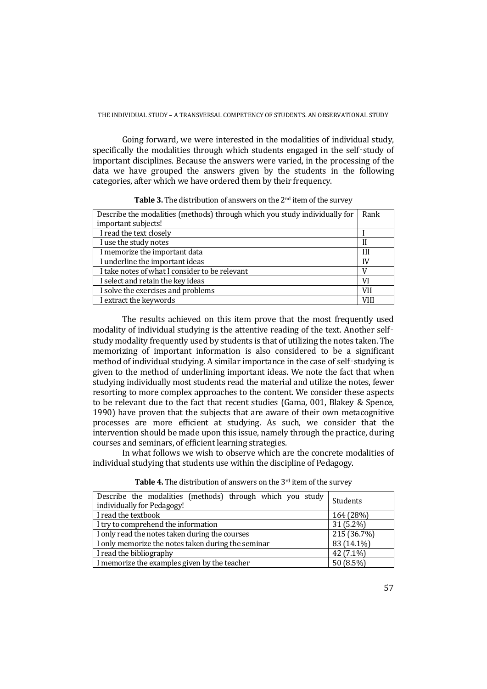Going forward, we were interested in the modalities of individual study, specifically the modalities through which students engaged in the self-study of important disciplines. Because the answers were varied, in the processing of the data we have grouped the answers given by the students in the following categories, after which we have ordered them by their frequency.

| Describe the modalities (methods) through which you study individually for | Rank |
|----------------------------------------------------------------------------|------|
| important subjects!                                                        |      |
| I read the text closely                                                    |      |
| I use the study notes                                                      | Н    |
| I memorize the important data                                              | Ш    |
| I underline the important ideas                                            | IV   |
| I take notes of what I consider to be relevant                             |      |
| I select and retain the key ideas                                          | VI   |
| I solve the exercises and problems                                         | VH   |
| I extract the keywords                                                     | VIII |

**Table 3.** The distribution of answers on the 2nd item of the survey

The results achieved on this item prove that the most frequently used modality of individual studying is the attentive reading of the text. Another selfstudy modality frequently used by students is that of utilizing the notes taken. The memorizing of important information is also considered to be a significant method of individual studying. A similar importance in the case of self-studying is given to the method of underlining important ideas. We note the fact that when studying individually most students read the material and utilize the notes, fewer resorting to more complex approaches to the content. We consider these aspects to be relevant due to the fact that recent studies (Gama, 001, Blakey & Spence, 1990) have proven that the subjects that are aware of their own metacognitive processes are more efficient at studying. As such, we consider that the intervention should be made upon this issue, namely through the practice, during courses and seminars, of efficient learning strategies.

 In what follows we wish to observe which are the concrete modalities of individual studying that students use within the discipline of Pedagogy.

| Describe the modalities (methods) through which you study<br>individually for Pedagogy! | Students    |
|-----------------------------------------------------------------------------------------|-------------|
| I read the textbook                                                                     | 164 (28%)   |
| I try to comprehend the information                                                     | $31(5.2\%)$ |
| I only read the notes taken during the courses                                          | 215 (36.7%) |
| I only memorize the notes taken during the seminar                                      | 83 (14.1%)  |
| I read the bibliography                                                                 | 42 (7.1%)   |
| I memorize the examples given by the teacher                                            | 50 (8.5%)   |

**Table 4.** The distribution of answers on the 3<sup>rd</sup> item of the survey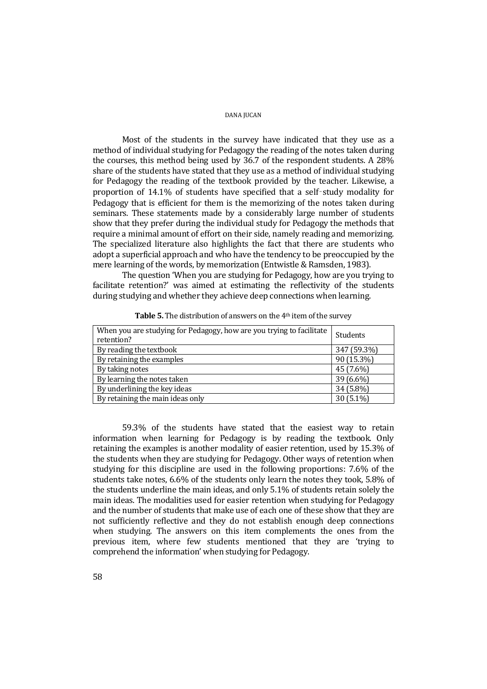Most of the students in the survey have indicated that they use as a method of individual studying for Pedagogy the reading of the notes taken during the courses, this method being used by 36.7 of the respondent students. A 28% share of the students have stated that they use as a method of individual studying for Pedagogy the reading of the textbook provided by the teacher. Likewise, a proportion of 14.1% of students have specified that a self‑study modality for Pedagogy that is efficient for them is the memorizing of the notes taken during seminars. These statements made by a considerably large number of students show that they prefer during the individual study for Pedagogy the methods that require a minimal amount of effort on their side, namely reading and memorizing. The specialized literature also highlights the fact that there are students who adopt a superficial approach and who have the tendency to be preoccupied by the mere learning of the words, by memorization (Entwistle & Ramsden, 1983).

The question 'When you are studying for Pedagogy, how are you trying to facilitate retention?' was aimed at estimating the reflectivity of the students during studying and whether they achieve deep connections when learning.

| When you are studying for Pedagogy, how are you trying to facilitate<br>retention? | <b>Students</b> |
|------------------------------------------------------------------------------------|-----------------|
| By reading the textbook                                                            | 347 (59.3%)     |
| By retaining the examples                                                          | 90 (15.3%)      |
| By taking notes                                                                    | 45 (7.6%)       |
| By learning the notes taken                                                        | 39 (6.6%)       |
| By underlining the key ideas                                                       | 34 (5.8%)       |
| By retaining the main ideas only                                                   | 30 (5.1%)       |

**Table 5.** The distribution of answers on the 4<sup>th</sup> item of the survey

59.3% of the students have stated that the easiest way to retain information when learning for Pedagogy is by reading the textbook. Only retaining the examples is another modality of easier retention, used by 15.3% of the students when they are studying for Pedagogy. Other ways of retention when studying for this discipline are used in the following proportions: 7.6% of the students take notes, 6.6% of the students only learn the notes they took, 5.8% of the students underline the main ideas, and only 5.1% of students retain solely the main ideas. The modalities used for easier retention when studying for Pedagogy and the number of students that make use of each one of these show that they are not sufficiently reflective and they do not establish enough deep connections when studying. The answers on this item complements the ones from the previous item, where few students mentioned that they are 'trying to comprehend the information' when studying for Pedagogy.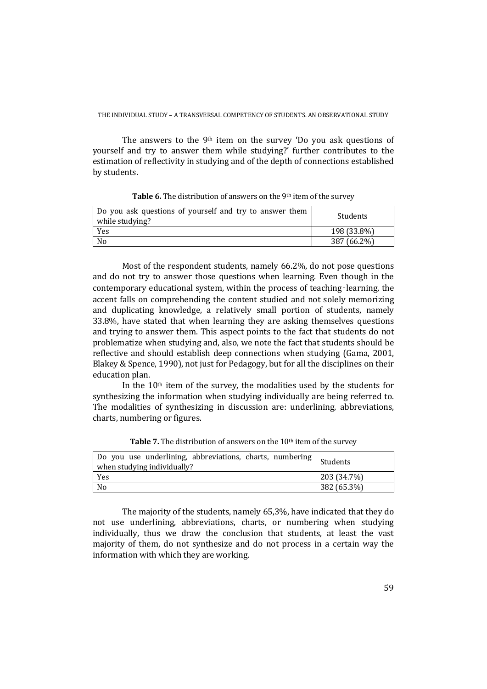The answers to the 9th item on the survey 'Do you ask questions of yourself and try to answer them while studying?' further contributes to the estimation of reflectivity in studying and of the depth of connections established by students.

| Do you ask questions of yourself and try to answer them<br>while studying? | Students    |
|----------------------------------------------------------------------------|-------------|
| Yes                                                                        | 198 (33.8%) |
| N <sub>0</sub>                                                             | 387 (66.2%) |

Table 6. The distribution of answers on the 9<sup>th</sup> item of the survey

Most of the respondent students, namely 66.2%, do not pose questions and do not try to answer those questions when learning. Even though in the contemporary educational system, within the process of teaching-learning, the accent falls on comprehending the content studied and not solely memorizing and duplicating knowledge, a relatively small portion of students, namely 33.8%, have stated that when learning they are asking themselves questions and trying to answer them. This aspect points to the fact that students do not problematize when studying and, also, we note the fact that students should be reflective and should establish deep connections when studying (Gama, 2001, Blakey & Spence, 1990), not just for Pedagogy, but for all the disciplines on their education plan.

In the 10th item of the survey, the modalities used by the students for synthesizing the information when studying individually are being referred to. The modalities of synthesizing in discussion are: underlining, abbreviations, charts, numbering or figures.

| Do you use underlining, abbreviations, charts, numbering<br>when studying individually? | Students    |
|-----------------------------------------------------------------------------------------|-------------|
| Yes                                                                                     | 203 (34.7%) |
| N <sub>0</sub>                                                                          | 382 (65.3%) |

**Table 7.** The distribution of answers on the 10<sup>th</sup> item of the survey

The majority of the students, namely 65,3%, have indicated that they do not use underlining, abbreviations, charts, or numbering when studying individually, thus we draw the conclusion that students, at least the vast majority of them, do not synthesize and do not process in a certain way the information with which they are working.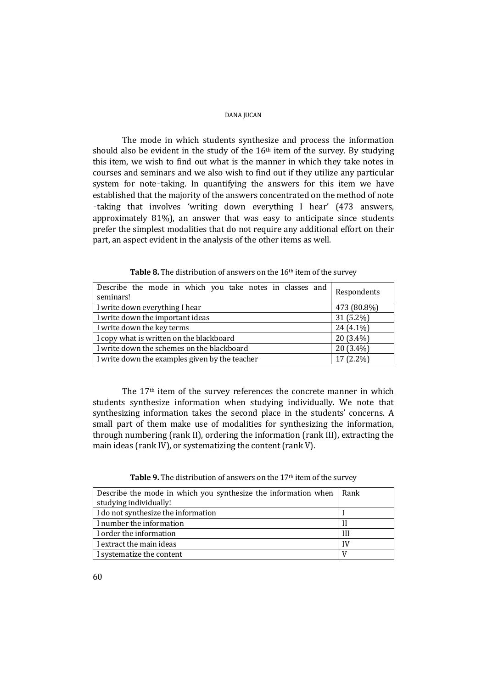The mode in which students synthesize and process the information should also be evident in the study of the 16th item of the survey. By studying this item, we wish to find out what is the manner in which they take notes in courses and seminars and we also wish to find out if they utilize any particular system for note-taking. In quantifying the answers for this item we have established that the majority of the answers concentrated on the method of note ‑taking that involves 'writing down everything I hear' (473 answers, approximately 81%), an answer that was easy to anticipate since students prefer the simplest modalities that do not require any additional effort on their part, an aspect evident in the analysis of the other items as well.

| Describe the mode in which you take notes in classes and<br>seminars! | Respondents |
|-----------------------------------------------------------------------|-------------|
| I write down everything I hear                                        | 473 (80.8%) |
| I write down the important ideas                                      | $31(5.2\%)$ |
| I write down the key terms                                            | $24(4.1\%)$ |
| I copy what is written on the blackboard                              | $20(3.4\%)$ |
| I write down the schemes on the blackboard                            | $20(3.4\%)$ |
| I write down the examples given by the teacher                        | 17 (2.2%)   |

Table 8. The distribution of answers on the 16<sup>th</sup> item of the survey

The 17th item of the survey references the concrete manner in which students synthesize information when studying individually. We note that synthesizing information takes the second place in the students' concerns. A small part of them make use of modalities for synthesizing the information, through numbering (rank II), ordering the information (rank III), extracting the main ideas (rank IV), or systematizing the content (rank V).

| Table 9. The distribution of answers on the 17 <sup>th</sup> item of the survey |  |
|---------------------------------------------------------------------------------|--|
|---------------------------------------------------------------------------------|--|

| Describe the mode in which you synthesize the information when   Rank |    |
|-----------------------------------------------------------------------|----|
| studying individually!                                                |    |
| I do not synthesize the information                                   |    |
| I number the information                                              |    |
| I order the information                                               | Ш  |
| I extract the main ideas                                              | IV |
| I systematize the content                                             |    |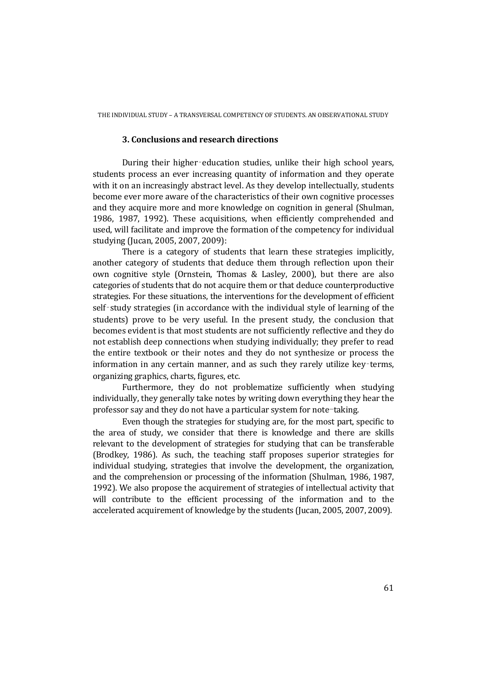## **3. Conclusions and research directions**

During their higher-education studies, unlike their high school years, students process an ever increasing quantity of information and they operate with it on an increasingly abstract level. As they develop intellectually, students become ever more aware of the characteristics of their own cognitive processes and they acquire more and more knowledge on cognition in general (Shulman, 1986, 1987, 1992). These acquisitions, when efficiently comprehended and used, will facilitate and improve the formation of the competency for individual studying (Jucan, 2005, 2007, 2009):

There is a category of students that learn these strategies implicitly, another category of students that deduce them through reflection upon their own cognitive style (Ornstein, Thomas & Lasley, 2000), but there are also categories of students that do not acquire them or that deduce counterproductive strategies. For these situations, the interventions for the development of efficient self-study strategies (in accordance with the individual style of learning of the students) prove to be very useful. In the present study, the conclusion that becomes evident is that most students are not sufficiently reflective and they do not establish deep connections when studying individually; they prefer to read the entire textbook or their notes and they do not synthesize or process the information in any certain manner, and as such they rarely utilize key‑terms, organizing graphics, charts, figures, etc.

Furthermore, they do not problematize sufficiently when studying individually, they generally take notes by writing down everything they hear the professor say and they do not have a particular system for note-taking.

Even though the strategies for studying are, for the most part, specific to the area of study, we consider that there is knowledge and there are skills relevant to the development of strategies for studying that can be transferable (Brodkey, 1986). As such, the teaching staff proposes superior strategies for individual studying, strategies that involve the development, the organization, and the comprehension or processing of the information (Shulman, 1986, 1987, 1992). We also propose the acquirement of strategies of intellectual activity that will contribute to the efficient processing of the information and to the accelerated acquirement of knowledge by the students (Jucan, 2005, 2007, 2009).